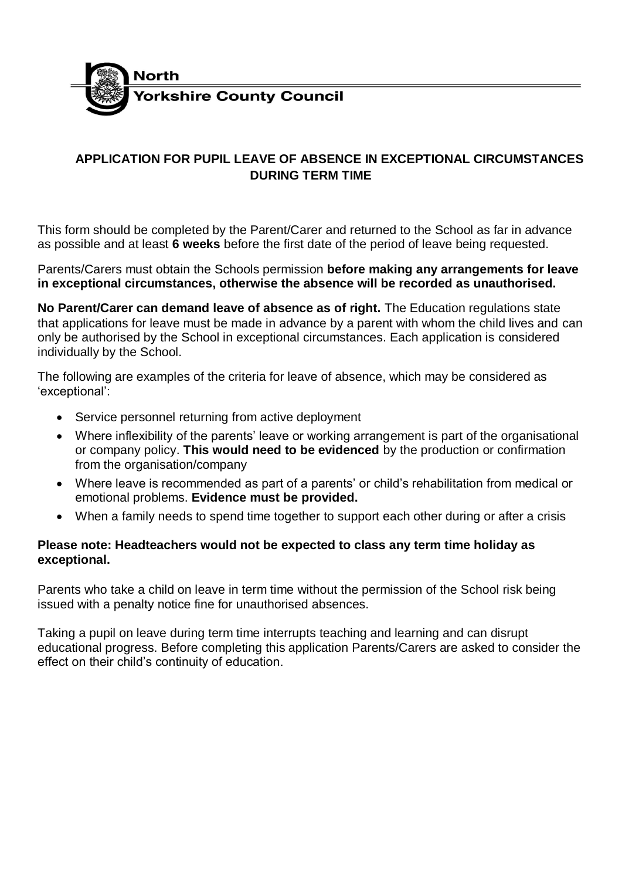

## **APPLICATION FOR PUPIL LEAVE OF ABSENCE IN EXCEPTIONAL CIRCUMSTANCES DURING TERM TIME**

This form should be completed by the Parent/Carer and returned to the School as far in advance as possible and at least **6 weeks** before the first date of the period of leave being requested.

Parents/Carers must obtain the Schools permission **before making any arrangements for leave in exceptional circumstances, otherwise the absence will be recorded as unauthorised.**

**No Parent/Carer can demand leave of absence as of right.** The Education regulations state that applications for leave must be made in advance by a parent with whom the child lives and can only be authorised by the School in exceptional circumstances. Each application is considered individually by the School.

The following are examples of the criteria for leave of absence, which may be considered as 'exceptional':

- Service personnel returning from active deployment
- Where inflexibility of the parents' leave or working arrangement is part of the organisational or company policy. **This would need to be evidenced** by the production or confirmation from the organisation/company
- Where leave is recommended as part of a parents' or child's rehabilitation from medical or emotional problems. **Evidence must be provided.**
- When a family needs to spend time together to support each other during or after a crisis

## **Please note: Headteachers would not be expected to class any term time holiday as exceptional.**

Parents who take a child on leave in term time without the permission of the School risk being issued with a penalty notice fine for unauthorised absences.

Taking a pupil on leave during term time interrupts teaching and learning and can disrupt educational progress. Before completing this application Parents/Carers are asked to consider the effect on their child's continuity of education.